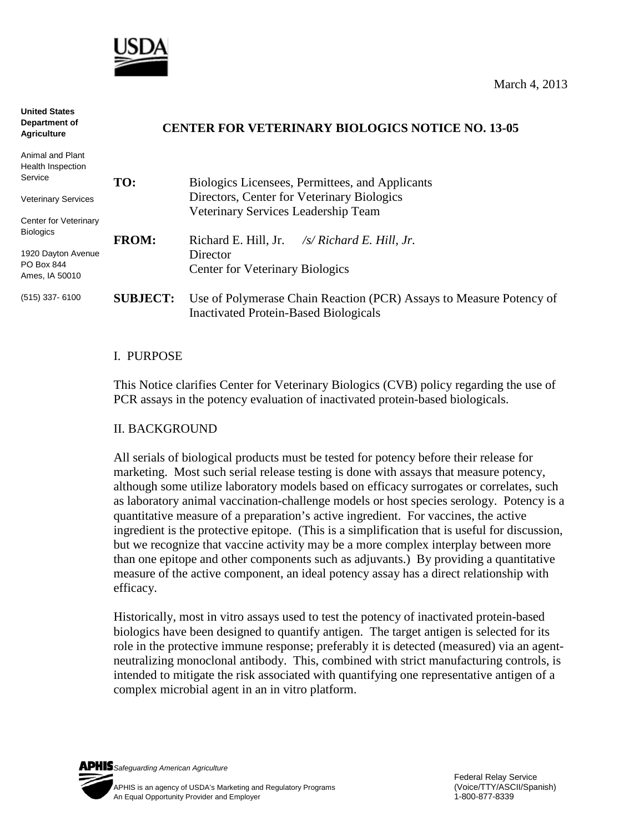

**United States** 

| Department of<br><b>Agriculture</b>                | <b>CENTER FOR VETERINARY BIOLOGICS NOTICE NO. 13-05</b> |                                                                                                                     |
|----------------------------------------------------|---------------------------------------------------------|---------------------------------------------------------------------------------------------------------------------|
| Animal and Plant<br>Health Inspection<br>Service   | TO:                                                     | Biologics Licensees, Permittees, and Applicants                                                                     |
| <b>Veterinary Services</b>                         |                                                         | Directors, Center for Veterinary Biologics<br>Veterinary Services Leadership Team                                   |
| Center for Veterinary<br><b>Biologics</b>          | <b>FROM:</b>                                            | Richard E. Hill, Jr.<br>/s/ Richard E. Hill, Jr.                                                                    |
| 1920 Dayton Avenue<br>PO Box 844<br>Ames, IA 50010 |                                                         | Director<br><b>Center for Veterinary Biologics</b>                                                                  |
| $(515)$ 337-6100                                   | <b>SUBJECT:</b>                                         | Use of Polymerase Chain Reaction (PCR) Assays to Measure Potency of<br><b>Inactivated Protein-Based Biologicals</b> |

### I. PURPOSE

This Notice clarifies Center for Veterinary Biologics (CVB) policy regarding the use of PCR assays in the potency evaluation of inactivated protein-based biologicals.

#### II. BACKGROUND

All serials of biological products must be tested for potency before their release for marketing. Most such serial release testing is done with assays that measure potency, although some utilize laboratory models based on efficacy surrogates or correlates, such as laboratory animal vaccination-challenge models or host species serology. Potency is a quantitative measure of a preparation's active ingredient. For vaccines, the active ingredient is the protective epitope. (This is a simplification that is useful for discussion, but we recognize that vaccine activity may be a more complex interplay between more than one epitope and other components such as adjuvants.) By providing a quantitative measure of the active component, an ideal potency assay has a direct relationship with efficacy.

Historically, most in vitro assays used to test the potency of inactivated protein-based biologics have been designed to quantify antigen. The target antigen is selected for its role in the protective immune response; preferably it is detected (measured) via an agentneutralizing monoclonal antibody. This, combined with strict manufacturing controls, is intended to mitigate the risk associated with quantifying one representative antigen of a complex microbial agent in an in vitro platform.

*Safeguarding American Agriculture* APHIS is an agency of USDA's Marketing and Regulatory Programs(Voice/TTY/ASCII/Spanish) An Equal Opportunity Provider and Employer